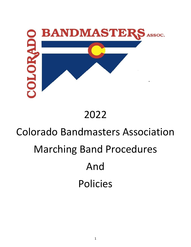

# 2022

# Colorado Bandmasters Association Marching Band Procedures And Policies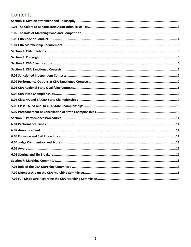# Contents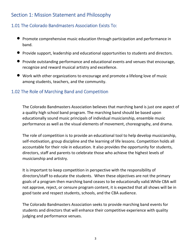# <span id="page-2-0"></span>Section 1: Mission Statement and Philosophy

# 1.01 The Colorado Bandmasters Association Exists To:

- Promote comprehensive music education through participation and performance in band.
- Provide support, leadership and educational opportunities to students and directors.
- Provide outstanding performance and educational events and venues that encourage, recognize and reward musical artistry and excellence.
- Work with other organizations to encourage and promote a lifelong love of music among students, teachers, and the community.

# 1.02 The Role of Marching Band and Competition

The Colorado Bandmasters Association believes that marching band is just one aspect of a quality high school band program. The marching band should be based upon educationally sound music principals of individual musicianship, ensemble music performance as well as the visual elements of movement, choreography, and drama.

The role of competition is to provide an educational tool to help develop musicianship, self-motivation, group discipline and the learning of life lessons. Competition holds all accountable for their role in education. It also provides the opportunity for students, directors, staff and parents to celebrate those who achieve the highest levels of musicianship and artistry.

It is important to keep competition in perspective with the responsibility of directors/staff to educate the students. When these objectives are not the primary goals of a program then marching band ceases to be educationally valid.While CBA will not approve, reject, or censure program content, it is expected that all shows will be in good taste and respect students, schools, and the CBA audience.

The Colorado Bandmasters Association seeks to provide marching band events for students and directors that will enhance their competitive experience with quality judging and performance venues.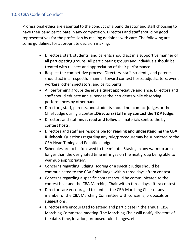# <span id="page-3-0"></span>1.03 CBA Code of Conduct

Professional ethics are essential to the conduct of a band director and staff choosing to have their band participate in any competition. Directors and staff should be good representatives for the profession by making decisions with care. The following are some guidelines for appropriate decision making:

- Directors, staff, students, and parents should act in a supportive manner of all participating groups. All participating groups and individuals should be treated with respect and appreciation of their performance.
- Respect the competitive process. Directors, staff, students, and parents should act in a respectful manner toward contest hosts, adjudicators, event workers, other spectators, and participants.
- All performing groups deserve a quiet appreciative audience. Directors and staff should educate and supervise their students while observing performances by other bands.
- Directors, staff, parents, and students should not contact judges or the Chief Judge during a contest.**Directors/Staff may contact the T&P Judge.**
- Directors and staff **must read and follow** all materials sent to the by contest hosts.
- Directors and staff are responsible for **reading and understanding** the **CBA Rulebook**. Questions regarding any rule/proceduremay be submitted to the CBA Head Timing and Penalties Judge.
- Schedules are to be followed to the minute. Staying in any warmup area longer than the designated time infringes on the next group being able to warmup appropriately.
- Concerns regarding judging, scoring or a specific judge should be communicated to the CBA Chief Judge within three days aftera contest.
- Concerns regarding a specific contest should be communicated to the contest host and the CBA Marching Chair within three days aftera contest.
- Directors are encouraged to contact the CBA Marching Chair or any member of the CBA Marching Committee with concerns, proposals or suggestions.
- Directors are encouraged to attend and participate in the annual CBA Marching Committee meeting. The Marching Chair will notify directors of the date, time, location, proposed rule changes, etc.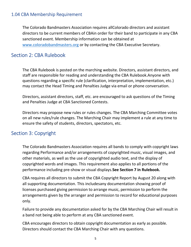#### <span id="page-4-0"></span>1.04 CBA Membership Requirement

The Colorado Bandmasters Association requires allColorado directors and assistant directors to be current members of CBAin order for their band to participate in any CBA sanctioned event. Membership information can be obtained at [www.coloradobandma](http://www.coloradobandmasters./)sters.org or by contacting the CBA Executive Secretary.

# Section 2: CBA Rulebook

The CBA Rulebook is posted on the marching website. Directors, assistant directors, and staff are responsible for reading and understanding the CBA Rulebook.Anyone with questions regarding a specific rule (clarification, interpretation, implementation, etc.) may contact the Head Timing and Penalties Judge via email or phone conversation.

Directors, assistant directors, staff, etc. are encouraged to ask questions of the Timing and Penalties Judge at CBA Sanctioned Contests.

Directors may propose new rules or rules changes. The CBA Marching Committee votes on all new rules/rule changes. The Marching Chair may implement a rule at any time to ensure the safety of students, directors, spectators, etc.

#### Section 3: Copyright

The Colorado Bandmasters Association requires all bands to comply with copyright laws regarding Performance and/or arrangements of copyrighted music, visual images, and other materials, as well as the use of copyrighted audio text, and the display of copyrighted words and images. This requirement also applies to all portions of the performance including pre-show or visual displays.**See Section 7 in Rulebook.**

CBA requires all directors to submit the CBA Copyright Report by August 20 along with all supporting documentation. This includesany documentation showing proof of licenses purchased giving permission to arrange music, permission to perform the arrangements given by the arranger and permission to record for educational purposes only.

Failure to provide any documentation asked for by the CBA Marching Chair will result in a band not being able to perform at any CBA sanctioned event.

CBA encourages directors to obtain copyright documentation as early as possible. Directors should contact the CBA Marching Chair with any questions.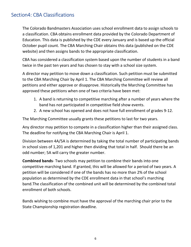# <span id="page-5-0"></span>Section4: CBA Classifications

The Colorado Bandmasters Association uses school enrollment data to assign schools to a classification. CBA obtains enrollment data provided by the Colorado Department of Education. This data is published by the CDE every January and is based up the official October pupil count. The CBA Marching Chair obtains this data (published on the CDE website) and then assigns bands to the appropriate classification.

CBA has considered a classification system based upon the number of students in a band twice in the past ten years and has chosen to stay with a school size system.

A director may petition to move down a classification. Such petition must be submitted to the CBA Marching Chair by April 1. The CBA Marching Committee will review all petitions and either approve or disapprove. Historically the Marching Committee has approved these petitions when one of two criteria have been met:

- 1. A band is returning to competitive marching after a number of years where the band has not participated in competitive field show events.
- 2. A new school has opened and does not have full enrollment of grades 9-12.

The Marching Committee usually grants these petitions to last for two years.

Any director may petition to compete in a classification higher than their assigned class. The deadline for notifying the CBA Marching Chair is April 1.

Division between 4A/5A is determined by taking the total number of participating bands in school sizes of 1,201 and higher then dividing that total in half. Should there be an odd number; 5A will carry the greater number.

**Combined bands**- Two schools may petition to combine their bands into one competitive marching band. If granted, this will be allowed for a period of two years. A petition will be considered if one of the bands has no more than 2% of the school population as determined by the CDE enrollment data in that school's marching band.The classification of the combined unit will be determined by the combined total enrollment of both schools.

Bands wishing to combine must have the approval of the marching chair prior to the State Championship registration deadline.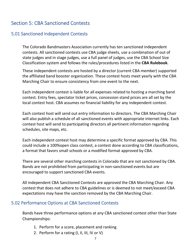# <span id="page-6-0"></span>Section 5: CBA Sanctioned Contests

#### 5.01 Sanctioned Independent Contests

The Colorado Bandmasters Association currently has ten sanctioned independent contests. All sanctioned contests use CBA judge sheets, use a combination of out of state judges and in stage judges, use a full panel of judges, use the CBA School Size Classification system and follows the rules/procedures listed in the **CBA Rulebook**.

These independent contests are hosted by a director (current CBA member) supported the affiliated band booster organization. These contest hosts meet yearly with the CBA Marching Chair to ensure consistency from one event to the next.

Each independent contest is liable for all expenses related to hosting a marching band contest. Entry fees, spectator ticket prices, concession stand prices are all set by the local contest host. CBA assumes no financial liability for any independent contest.

Each contest host will send out entry information to directors. The CBA Marching Chair will also publish a schedule of all sanctioned events with appropriate internet links. Each contest host will send to participating directors all pertinent information regarding schedules, site maps, etc.

Each independent contest host may determine a specific format approved by CBA. This could include a 100%open class contest, a contest done according to CBA classifications, a format that favors small schools or a modified format approved by CBA.

There are several other marching contests in Colorado that are not sanctioned by CBA. Bands are not prohibited from participating in non-sanctioned events but are encouraged to support sanctioned CBA events.

All independent CBA Sanctioned Contests are approved the CBA Marching Chair. Any contest that does not adhere to CBA guidelines or is deemed to not meet/exceed CBA expectations may have the sanction removed by the CBA Marching Chair.

#### 5.02 Performance Options at CBA Sanctioned Contests

Bands have three performance options at any CBA sanctioned contest other than State Championships:

- 1. Perform for a score, placement and ranking
- 2. Perform for a rating (I, II, III, IV or V)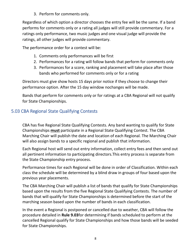3. Perform for comments only.

<span id="page-7-0"></span>Regardless of which option a director chooses the entry fee will be the same. If a band performs for comments only or a rating all judges will still provide commentary. For a ratings only performance, two music judges and one visual judge will provide the ratings, all other judges will provide commentary.

The performance order for a contest will be:

- 1. Comments only performances will be first
- 2. Performances for a rating will follow bands that perform for comments only
- 3. Performances for a score, ranking and placement will take place after those bands who performed for comments only or for a rating

Directors must give show hosts 15 days prior notice if they choose to change their performance option. After the 15 day window nochanges will be made.

Bands that perform for comments only or for ratings at a CBA Regional will not qualify for State Championships.

# 5.03 CBA Regional State Qualifying Contests

CBA has five Regional State Qualifying Contests. Any band wanting to qualify for State Championships **must** participate in a Regional State Qualifying Contest. The CBA Marching Chair will publish the date and location of each Regional. The Marching Chair will also assign bands to a specific regional and publish that information.

Each Regional host will send out entry information, collect entry fees and then send out all pertinent information to participating directors.This entry process is separate from the State Championship entry process.

Performance times for each Regional will be done in order of Classification. Within each class the schedule will be determined by a blind draw in groups of four based upon the previous year placements.

The CBA Marching Chair will publish a list of bands that qualify for State Championships based upon the results from the five Regional State Qualifying Contests. The number of bands that will qualify for State Championships is determined before the start of the marching season based upon the number of bands in each classification.

In the event a Regional is postponed or cancelled due to weather, CBA will follow the procedure detailed in **Rule 9.03**for determining if bands scheduled to perform at the cancelled Regional qualify for State Championships and how those bands will be seeded for State Championships.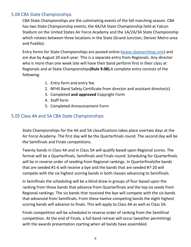### <span id="page-8-0"></span>5.04 CBA State Championships

CBA State Championships are the culminating events of the fall marching season. CBA has two State Championship events; the 4A/5A State Championship held at Falcon Stadium on the United States Air Force Academy and the 1A/2A/3A State Championship which rotates between three locations in the State (Grand Junction, Denver Metro area and Pueblo).

Entry forms for State Championships are posted online [\(www.cbamarching](http://www.cbamarching.com/).com) and are due by August 20 each year. This is a separate entry from Regionals. Any director who is more than one week late will have their band perform first in their class at Regionals and at State Championships**(Rule 9.08).**A complete entry consists of the following:

- 1. Entry form and entry fee
- 2. NFHS Band Safety Certificate from director and assistant director(s)
- 3. Completed **and approved** Copyright Form
- 4. Staff form
- 5. Completed Announcement Form

#### 5.05 Class 4A and 5A CBA State Championships

State Championships for the 4A and 5A classifications takes place overtwo days at the Air Force Academy. The first day will be the Quarterfinals round. The second day will be the Semifinals and Finals competitions.

Twenty bands in Class 4A and in Class 5A will qualify based upon Regional scores. The format will be a Quarterfinals, Semifinals and Finals round. Scheduling for Quarterfinals will be in reverse order of seeding from Regional rankings. In Quarterfinalsthe bands that are seeded #1-6 will receive a bye and the bands that are seeded #7-20 will compete with the six highest scoring bands in both classes advancing to Semifinals.

In Semifinals the scheduling will be a blind draw in groups of four based upon the ranking from those bands that advance from Quarterfinals and the top six seeds from Regional rankings. The six bands that received the bye will compete with the six bands that advanced from Semifinals. From these twelve competing bands the eight highest scoring bands will advance to finals. This will apply to Class 4A as well as Class 5A.

Finals competition will be scheduled in reverse order of ranking from the Semifinal competition. At the end of Finals, a full band retreat will occur (weather permitting) with the awards presentation starting when all bands have assembled.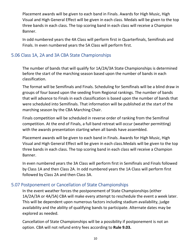<span id="page-9-0"></span>Placement awards will be given to each band in Finals. Awards for High Music, High Visual and High General Effect will be given in each class. Medals will be given to the top three bands in each class. The top scoring band in each class will receive a Champion Banner.

In odd numbered years the 4A Class will perform first in Quarterfinals, Semifinals and Finals. In even numbered years the 5A Class will perform first.

#### 5.06 Class 1A, 2A and 3A CBA State Championships

The number of bands that will qualify for 1A/2A/3A State Championships is determined before the start of the marching season based upon the number of bands in each classification.

The format will be Semifinals and Finals. Scheduling for Semifinals will be a blind draw in groups of four based upon the seeding from Regional rankings. The number of bands that will advance to Finals in each classification is based upon the number of bands that were scheduled into Semifinals. That information will be published at the start of the marching season by the CBA Marching Chair.

Finals competition will be scheduled in reverse order of ranking from the Semifinal competition. At the end of Finals, a full band retreat will occur (weather permitting) with the awards presentation starting when all bands have assembled.

Placement awards will be given to each band in Finals. Awards for High Music, High Visual and High General Effect will be given in each class.Medals will be given to the top three bands in each class. The top scoring band in each class will receive a Champion Banner.

In even numbered years the 3A Class will perform first in Semifinals and Finals followed by Class 1A and then Class 2A. In odd numbered years the 1A Class will perform first followed by Class 2A and then Class 3A.

#### 5.07 Postponement or Cancellation of State Championships

In the event weather forces the postponement of State Championships (either 1A/2A/3A or 4A/5A) CBA will make every attempt to reschedule the event a week later. This will be dependent upon numerous factors including stadium availability, judge availability and the ability of qualifying bands to participate. Alternate dates may be explored as needed.

Cancellation of State Championships will be a possibility if postponement is not an option. CBA will not refund entry fees according to **Rule 9.03.**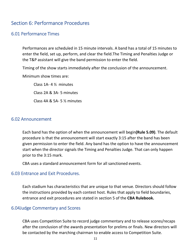# <span id="page-10-0"></span>Section 6: Performance Procedures

#### 6.01 Performance Times

Performances are scheduled in 15 minute intervals. A band has a total of 15 minutes to enter the field, set up, perform, and clear the field.The Timing and Penalties Judge or the T&P assistant will give the band permission to enter the field.

Timing of the show starts immediately after the conclusion of the announcement.

Minimum show times are:

Class 1A- 4 ½ minutes Class 2A & 3A- 5 minutes Class 4A & 5A- 5 ½ minutes

#### 6.02 Announcement

Each band has the option of when the announcement will begin**(Rule 5.09)**. The default procedure is that the announcement will start exactly 3:15 after the band has been given permission to enter the field. Any band has the option to have the announcement start when the director signals the Timing and Penalties Judge. That can only happen prior to the 3:15 mark.

CBA uses a standard announcement form for all sanctioned events.

#### 6.03 Entrance and Exit Procedures.

Each stadium has characteristics that are unique to that venue. Directors should follow the instructions provided by each contest host. Rules that apply to field boundaries, entrance and exit procedures are stated in section 5 of the **CBA Rulebook.**

#### 6.04Judge Commentary and Scores

CBA uses Competition Suite to record judge commentary and to release scores/recaps after the conclusion of the awards presentation for prelims or finals. New directors will be contacted by the marching chairman to enable access to Competition Suite.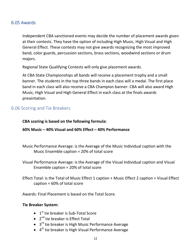#### <span id="page-11-0"></span>6.05 Awards

Independent CBA sanctioned events may decide the number of placement awards given at their contests. They have the option of including High Music, High Visual and High General Effect. These contests may not give awards recognizing the most improved band, color guards, percussion sections, brass sections, woodwind sections or drum majors.

Regional State Qualifying Contests will only give placement awards.

At CBA State Championships all bands will receive a placement trophy and a small banner. The students in the top three bands in each class will a medal. The first place band in each class will also receive a CBA Champion banner. CBA will also award High Music, High Visual and High General Effect in each class at the finals awards presentation.

#### 6.06 Scoring and Tie Breakers

#### **CBA scoring is based on the following formula:**

#### **60% Music – 40% Visual and 60% Effect – 40% Performance**

- Music Performance Average: is the Average of the Music Individual caption with the Music Ensemble caption = 20% of total score
- Visual Performance Average: is the Average of the Visual Individual caption and Visual Ensemble caption = 20% of total score

Effect Total: is the Total of Music Effect 1 caption + Music Effect 2 caption + Visual Effect caption = 60% of total score

Awards: Final Placement is based on the Total Score.

#### **Tie Breaker System:**

- $\bullet$  1<sup>st</sup> tie breaker is Sub-Total Score
- $\bullet$  2<sup>nd</sup> tie breaker is Effect Total
- $\bullet$  3<sup>rd</sup> tie breaker is High Music Performance Average
- $\bullet$  4<sup>th</sup> tie breaker is High Visual Performance Average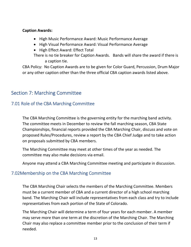#### <span id="page-12-0"></span>**Caption Awards:**

- High Music Performance Award: Music Performance Average
- High Visual Performance Award: Visual Performance Average
- High Effect Award: Effect Total

There is no tie breaker for Caption Awards. Bands will share the award if there is a caption tie.

CBA Policy: No Caption Awards are to be given for Color Guard, Percussion, Drum Major or any other caption other than the three official CBA caption awards listed above.

# Section 7: Marching Committee

#### 7.01 Role of the CBA Marching Committee

The CBA Marching Committee is the governing entity for the marching band activity. The committee meets in December to review the fall marching season, CBA State Championships, financial reports provided the CBA Marching Chair, discuss and vote on proposed Rules/Procedures, review a report by the CBA Chief Judge and to take action on proposals submitted by CBA members.

The Marching Committee may meet at other times of the year as needed. The committee may also make decisions via email.

Anyone may attend a CBA Marching Committee meeting and participate in discussion.

#### 7.02Membership on the CBA Marching Committee

The CBA Marching Chair selects the members of the Marching Committee. Members must be a current member of CBA and a current director of a high school marching band. The Marching Chair will include representatives from each class and try to include representatives from each portion of the State of Colorado.

The Marching Chair will determine a term of four years for each member. A member may serve more than one term at the discretion of the Marching Chair. The Marching Chair may also replace a committee member prior to the conclusion of their term if needed.